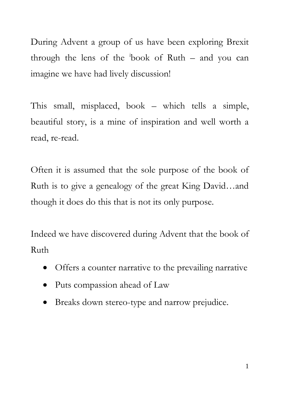During Advent a group of us have been exploring Brexit through the lens of the <sup>i</sup> book of Ruth – and you can imagine we have had lively discussion!

This small, misplaced, book – which tells a simple, beautiful story, is a mine of inspiration and well worth a read, re-read.

Often it is assumed that the sole purpose of the book of Ruth is to give a genealogy of the great King David…and though it does do this that is not its only purpose.

Indeed we have discovered during Advent that the book of Ruth

- Offers a counter narrative to the prevailing narrative
- Puts compassion ahead of Law
- Breaks down stereo-type and narrow prejudice.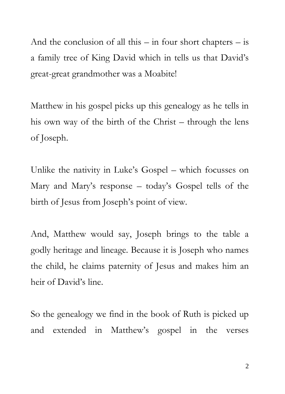And the conclusion of all this  $-$  in four short chapters  $-$  is a family tree of King David which in tells us that David's great-great grandmother was a Moabite!

Matthew in his gospel picks up this genealogy as he tells in his own way of the birth of the Christ – through the lens of Joseph.

Unlike the nativity in Luke's Gospel – which focusses on Mary and Mary's response – today's Gospel tells of the birth of Jesus from Joseph's point of view.

And, Matthew would say, Joseph brings to the table a godly heritage and lineage. Because it is Joseph who names the child, he claims paternity of Jesus and makes him an heir of David's line.

So the genealogy we find in the book of Ruth is picked up and extended in Matthew's gospel in the verses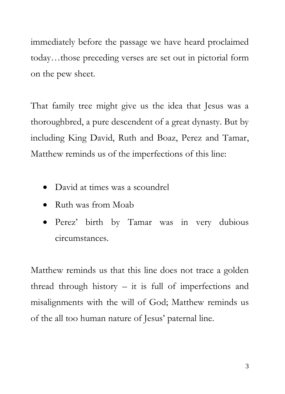immediately before the passage we have heard proclaimed today…those preceding verses are set out in pictorial form on the pew sheet.

That family tree might give us the idea that Jesus was a thoroughbred, a pure descendent of a great dynasty. But by including King David, Ruth and Boaz, Perez and Tamar, Matthew reminds us of the imperfections of this line:

- David at times was a scoundrel
- Ruth was from Moab
- Perez' birth by Tamar was in very dubious circumstances.

Matthew reminds us that this line does not trace a golden thread through history – it is full of imperfections and misalignments with the will of God; Matthew reminds us of the all too human nature of Jesus' paternal line.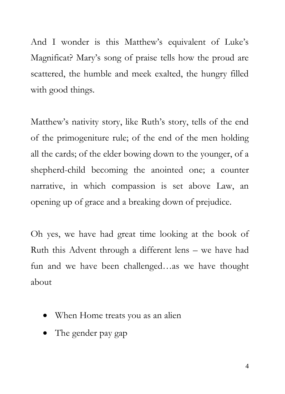And I wonder is this Matthew's equivalent of Luke's Magnificat? Mary's song of praise tells how the proud are scattered, the humble and meek exalted, the hungry filled with good things.

Matthew's nativity story, like Ruth's story, tells of the end of the primogeniture rule; of the end of the men holding all the cards; of the elder bowing down to the younger, of a shepherd-child becoming the anointed one; a counter narrative, in which compassion is set above Law, an opening up of grace and a breaking down of prejudice.

Oh yes, we have had great time looking at the book of Ruth this Advent through a different lens – we have had fun and we have been challenged…as we have thought about

- When Home treats you as an alien
- The gender pay gap